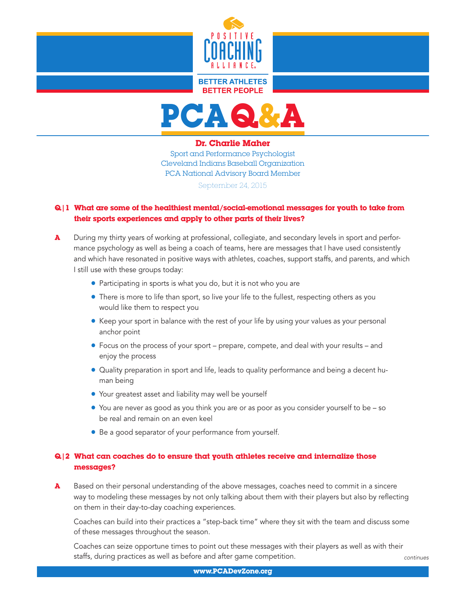

#### **BETTER ATHLETES RETTER PEOPLE**



#### Dr. Charlie Maher

Sport and Performance Psychologist Cleveland Indians Baseball Organization PCA National Advisory Board Member September 24, 2015

### Q|1 What are some of the healthiest mental/social-emotional messages for youth to take from their sports experiences and apply to other parts of their lives?

- A During my thirty years of working at professional, collegiate, and secondary levels in sport and performance psychology as well as being a coach of teams, here are messages that I have used consistently and which have resonated in positive ways with athletes, coaches, support staffs, and parents, and which I still use with these groups today:
	- Participating in sports is what you do, but it is not who you are
	- There is more to life than sport, so live your life to the fullest, respecting others as you would like them to respect you
	- **•** Keep your sport in balance with the rest of your life by using your values as your personal anchor point
	- Focus on the process of your sport prepare, compete, and deal with your results and enjoy the process
	- Quality preparation in sport and life, leads to quality performance and being a decent human being
	- **•** Your greatest asset and liability may well be yourself
	- You are never as good as you think you are or as poor as you consider yourself to be so be real and remain on an even keel
	- Be a good separator of your performance from yourself.

### Q|2 What can coaches do to ensure that youth athletes receive and internalize those messages?

A Based on their personal understanding of the above messages, coaches need to commit in a sincere way to modeling these messages by not only talking about them with their players but also by reflecting on them in their day-to-day coaching experiences.

 Coaches can build into their practices a "step-back time" where they sit with the team and discuss some of these messages throughout the season.

 Coaches can seize opportune times to point out these messages with their players as well as with their staffs, during practices as well as before and after game competition.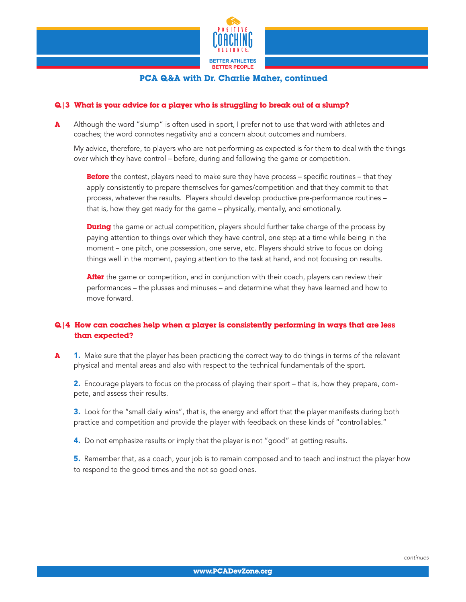

#### $Q/3$  What is your advice for a player who is struggling to break out of a slump?

A Although the word "slump" is often used in sport, I prefer not to use that word with athletes and coaches; the word connotes negativity and a concern about outcomes and numbers.

 My advice, therefore, to players who are not performing as expected is for them to deal with the things over which they have control – before, during and following the game or competition.

**Before** the contest, players need to make sure they have process – specific routines – that they apply consistently to prepare themselves for games/competition and that they commit to that process, whatever the results. Players should develop productive pre-performance routines – that is, how they get ready for the game – physically, mentally, and emotionally.

**During** the game or actual competition, players should further take charge of the process by paying attention to things over which they have control, one step at a time while being in the moment – one pitch, one possession, one serve, etc. Players should strive to focus on doing things well in the moment, paying attention to the task at hand, and not focusing on results.

After the game or competition, and in conjunction with their coach, players can review their performances – the plusses and minuses – and determine what they have learned and how to move forward.

#### $Q/4$  How can coaches help when a player is consistently performing in ways that are less than expected?

**A** 1. Make sure that the player has been practicing the correct way to do things in terms of the relevant physical and mental areas and also with respect to the technical fundamentals of the sport.

2. Encourage players to focus on the process of playing their sport – that is, how they prepare, compete, and assess their results.

**3.** Look for the "small daily wins", that is, the energy and effort that the player manifests during both practice and competition and provide the player with feedback on these kinds of "controllables."

4. Do not emphasize results or imply that the player is not "good" at getting results.

**5.** Remember that, as a coach, your job is to remain composed and to teach and instruct the player how to respond to the good times and the not so good ones.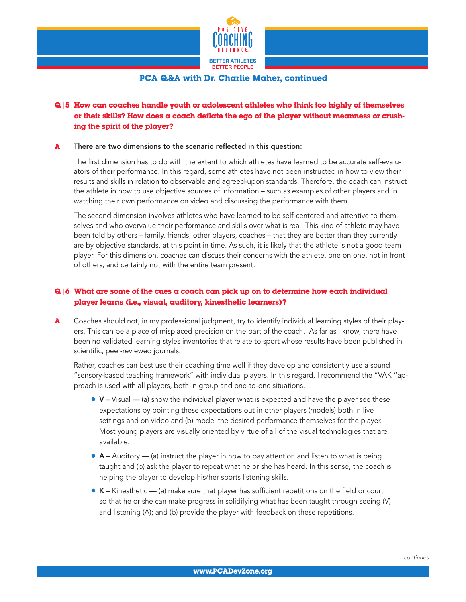

## Q|5 How can coaches handle youth or adolescent athletes who think too highly of themselves or their skills? How does a coach deflate the ego of the player without meanness or crushing the spirit of the player?

#### **A** There are two dimensions to the scenario reflected in this question:

 The first dimension has to do with the extent to which athletes have learned to be accurate self-evaluators of their performance. In this regard, some athletes have not been instructed in how to view their results and skills in relation to observable and agreed-upon standards. Therefore, the coach can instruct the athlete in how to use objective sources of information – such as examples of other players and in watching their own performance on video and discussing the performance with them.

 The second dimension involves athletes who have learned to be self-centered and attentive to themselves and who overvalue their performance and skills over what is real. This kind of athlete may have been told by others – family, friends, other players, coaches – that they are better than they currently are by objective standards, at this point in time. As such, it is likely that the athlete is not a good team player. For this dimension, coaches can discuss their concerns with the athlete, one on one, not in front of others, and certainly not with the entire team present.

### $Q/6$  What are some of the cues a coach can pick up on to determine how each individual player learns (i.e., visual, auditory, kinesthetic learners)?

A Coaches should not, in my professional judgment, try to identify individual learning styles of their players. This can be a place of misplaced precision on the part of the coach. As far as I know, there have been no validated learning styles inventories that relate to sport whose results have been published in scientific, peer-reviewed journals.

 Rather, coaches can best use their coaching time well if they develop and consistently use a sound "sensory-based teaching framework" with individual players. In this regard, I recommend the "VAK "approach is used with all players, both in group and one-to-one situations.

- $\bullet$  V Visual (a) show the individual player what is expected and have the player see these expectations by pointing these expectations out in other players (models) both in live settings and on video and (b) model the desired performance themselves for the player. Most young players are visually oriented by virtue of all of the visual technologies that are available.
- $\bullet$  A Auditory (a) instruct the player in how to pay attention and listen to what is being taught and (b) ask the player to repeat what he or she has heard. In this sense, the coach is helping the player to develop his/her sports listening skills.
- $\bullet$  K Kinesthetic (a) make sure that player has sufficient repetitions on the field or court so that he or she can make progress in solidifying what has been taught through seeing (V) and listening (A); and (b) provide the player with feedback on these repetitions.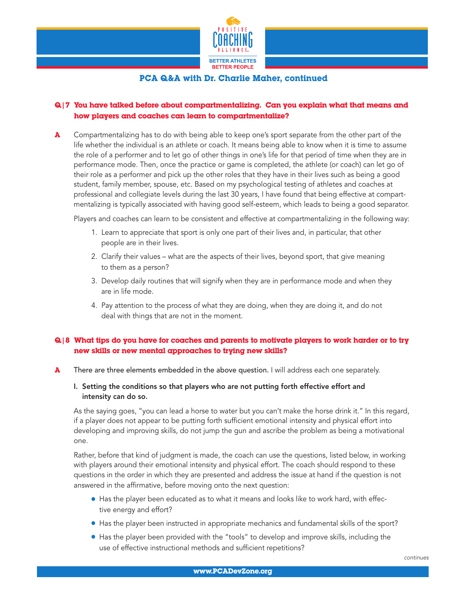

## Q|7 You have talked before about compartmentalizing. Can you explain what that means and how players and coaches can learn to compartmentalize?

**A** Compartmentalizing has to do with being able to keep one's sport separate from the other part of the life whether the individual is an athlete or coach. It means being able to know when it is time to assume the role of a performer and to let go of other things in one's life for that period of time when they are in performance mode. Then, once the practice or game is completed, the athlete (or coach) can let go of their role as a performer and pick up the other roles that they have in their lives such as being a good student, family member, spouse, etc. Based on my psychological testing of athletes and coaches at professional and collegiate levels during the last 30 years, I have found that being effective at compartmentalizing is typically associated with having good self-esteem, which leads to being a good separator.

Players and coaches can learn to be consistent and effective at compartmentalizing in the following way:

- 1. Learn to appreciate that sport is only one part of their lives and, in particular, that other people are in their lives.
- 2. Clarify their values what are the aspects of their lives, beyond sport, that give meaning to them as a person?
- 3. Develop daily routines that will signify when they are in performance mode and when they are in life mode.
- 4. Pay attention to the process of what they are doing, when they are doing it, and do not deal with things that are not in the moment.

### Q|8 What tips do you have for coaches and parents to motivate players to work harder or to try new skills or new mental approaches to trying new skills?

- A There are three elements embedded in the above question. I will address each one separately.
	- I. Setting the conditions so that players who are not putting forth effective effort and intensity can do so.

 As the saying goes, "you can lead a horse to water but you can't make the horse drink it." In this regard, if a player does not appear to be putting forth sufficient emotional intensity and physical effort into developing and improving skills, do not jump the gun and ascribe the problem as being a motivational one.

 Rather, before that kind of judgment is made, the coach can use the questions, listed below, in working with players around their emotional intensity and physical effort. The coach should respond to these questions in the order in which they are presented and address the issue at hand if the question is not answered in the affirmative, before moving onto the next question:

- **Has the player been educated as to what it means and looks like to work hard, with effec**tive energy and effort?
- Has the player been instructed in appropriate mechanics and fundamental skills of the sport?
- Has the player been provided with the "tools" to develop and improve skills, including the use of effective instructional methods and sufficient repetitions?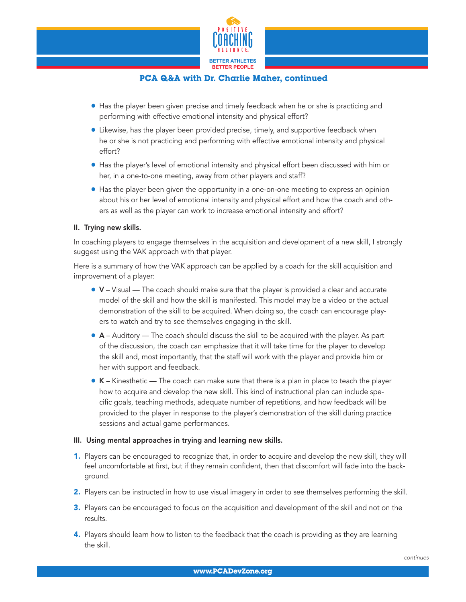

- Has the player been given precise and timely feedback when he or she is practicing and performing with effective emotional intensity and physical effort?
- **I.** Likewise, has the player been provided precise, timely, and supportive feedback when he or she is not practicing and performing with effective emotional intensity and physical effort?
- Has the player's level of emotional intensity and physical effort been discussed with him or her, in a one-to-one meeting, away from other players and staff?
- Has the player been given the opportunity in a one-on-one meeting to express an opinion about his or her level of emotional intensity and physical effort and how the coach and others as well as the player can work to increase emotional intensity and effort?

#### II. Trying new skills.

 In coaching players to engage themselves in the acquisition and development of a new skill, I strongly suggest using the VAK approach with that player.

 Here is a summary of how the VAK approach can be applied by a coach for the skill acquisition and improvement of a player:

- $\bullet$  V Visual The coach should make sure that the player is provided a clear and accurate model of the skill and how the skill is manifested. This model may be a video or the actual demonstration of the skill to be acquired. When doing so, the coach can encourage players to watch and try to see themselves engaging in the skill.
- $\bullet$  A Auditory The coach should discuss the skill to be acquired with the player. As part of the discussion, the coach can emphasize that it will take time for the player to develop the skill and, most importantly, that the staff will work with the player and provide him or her with support and feedback.
- $\bullet$  K Kinesthetic The coach can make sure that there is a plan in place to teach the player how to acquire and develop the new skill. This kind of instructional plan can include specific goals, teaching methods, adequate number of repetitions, and how feedback will be provided to the player in response to the player's demonstration of the skill during practice sessions and actual game performances.

#### III. Using mental approaches in trying and learning new skills.

- 1. Players can be encouraged to recognize that, in order to acquire and develop the new skill, they will feel uncomfortable at first, but if they remain confident, then that discomfort will fade into the background.
- 2. Players can be instructed in how to use visual imagery in order to see themselves performing the skill.
- **3.** Players can be encouraged to focus on the acquisition and development of the skill and not on the results.
- 4. Players should learn how to listen to the feedback that the coach is providing as they are learning the skill.